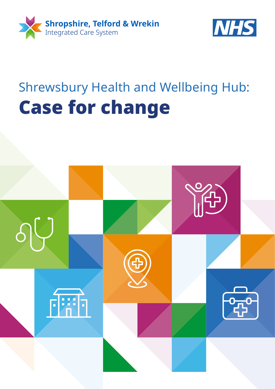



# Shrewsbury Health and Wellbeing Hub: Case for change

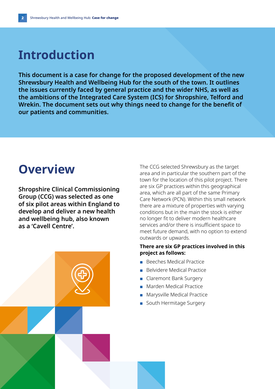### **Introduction**

**This document is a case for change for the proposed development of the new Shrewsbury Health and Wellbeing Hub for the south of the town. It outlines the issues currently faced by general practice and the wider NHS, as well as the ambitions of the Integrated Care System (ICS) for Shropshire, Telford and Wrekin. The document sets out why things need to change for the benefit of our patients and communities.**

### **Overview**

**Shropshire Clinical Commissioning Group (CCG) was selected as one of six pilot areas within England to develop and deliver a new health and wellbeing hub, also known as a 'Cavell Centre'.** 



The CCG selected Shrewsbury as the target area and in particular the southern part of the town for the location of this pilot project. There are six GP practices within this geographical area, which are all part of the same Primary Care Network (PCN). Within this small network there are a mixture of properties with varying conditions but in the main the stock is either no longer fit to deliver modern healthcare services and/or there is insufficient space to meet future demand, with no option to extend outwards or upwards.

#### **There are six GP practices involved in this project as follows:**

- Beeches Medical Practice
- Belvidere Medical Practice
- Claremont Bank Surgery
- Marden Medical Practice
- Marysville Medical Practice
- South Hermitage Surgery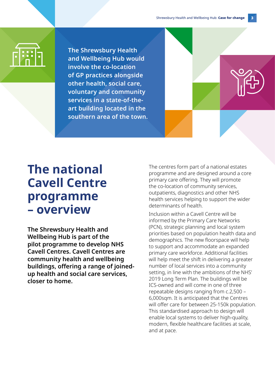**The Shrewsbury Health and Wellbeing Hub would involve the co-location of GP practices alongside other health, social care, voluntary and community services in a state-of-theart building located in the southern area of the town.**

### **The national Cavell Centre programme – overview**

**The Shrewsbury Health and Wellbeing Hub is part of the pilot programme to develop NHS Cavell Centres. Cavell Centres are community health and wellbeing buildings, offering a range of joinedup health and social care services, closer to home.** 

The centres form part of a national estates programme and are designed around a core primary care offering. They will promote the co-location of community services, outpatients, diagnostics and other NHS health services helping to support the wider determinants of health.

Inclusion within a Cavell Centre will be informed by the Primary Care Networks (PCN), strategic planning and local system priorities based on population health data and demographics. The new floorspace will help to support and accommodate an expanded primary care workforce. Additional facilities will help meet the shift in delivering a greater number of local services into a community setting, in line with the ambitions of the NHS' 2019 Long Term Plan. The buildings will be ICS-owned and will come in one of three repeatable designs ranging from c.2,500 – 6,000sqm. It is anticipated that the Centres will offer care for between 25-150k population. This standardised approach to design will enable local systems to deliver high-quality, modern, flexible healthcare facilities at scale, and at pace.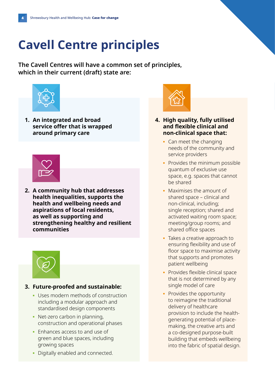# **Cavell Centre principles**

**The Cavell Centres will have a common set of principles, which in their current (draft) state are:**



**1. An integrated and broad service offer that is wrapped around primary care**



**2. A community hub that addresses health inequalities, supports the health and wellbeing needs and aspirations of local residents, as well as supporting and strengthening healthy and resilient communities**



#### **3. Future-proofed and sustainable:**

- **▪** Uses modern methods of construction including a modular approach and standardised design components
- **▪** Net-zero carbon in planning, construction and operational phases
- **▪** Enhances access to and use of green and blue spaces, including growing spaces
- **▪** Digitally enabled and connected.



#### **4. High quality, fully utilised and flexible clinical and non-clinical space that:**

- **▪** Can meet the changing needs of the community and service providers
- **▪** Provides the minimum possible quantum of exclusive use space, e.g. spaces that cannot be shared
- **▪** Maximises the amount of shared space – clinical and non-clinical, including; single reception; shared and activated waiting room space; meeting/group rooms; and shared office spaces
- **▪** Takes a creative approach to ensuring flexibility and use of floor space to maximise activity that supports and promotes patient wellbeing
- **•** Provides flexible clinical space that is not determined by any single model of care
- **▪** Provides the opportunity to reimagine the traditional delivery of healthcare provision to include the healthgenerating potential of placemaking, the creative arts and a co-designed purpose-built building that embeds wellbeing into the fabric of spatial design.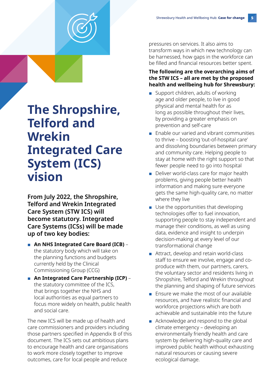

### **The Shropshire, Telford and Wrekin Integrated Care System (ICS) vision**

**From July 2022, the Shropshire, Telford and Wrekin Integrated Care System (STW ICS) will become statutory. Integrated Care Systems (ICSs) will be made up of two key bodies:**

- **An NHS Integrated Care Board (ICB)** the statutory body which will take on the planning functions and budgets currently held by the Clinical Commissioning Group (CCG)
- **An Integrated Care Partnership (ICP)** the statutory committee of the ICS, that brings together the NHS and local authorities as equal partners to focus more widely on health, public health and social care.

The new ICS will be made up of health and care commissioners and providers including those partners specified in Appendix B of this document. The ICS sets out ambitious plans to encourage health and care organisations to work more closely together to improve outcomes, care for local people and reduce

pressures on services. It also aims to transform ways in which new technology can be harnessed, how gaps in the workforce can be filled and financial resources better spent.

#### **The following are the overarching aims of the STW ICS – all are met by the proposed health and wellbeing hub for Shrewsbury:**

- Support children, adults of working age and older people, to live in good physical and mental health for as long as possible throughout their lives, by providing a greater emphasis on prevention and self-care
- Enable our varied and vibrant communities to thrive – boosting 'out-of-hospital care' and dissolving boundaries between primary and community care. Helping people to stay at home with the right support so that fewer people need to go into hospital
- Deliver world-class care for major health problems, giving people better health information and making sure everyone gets the same high-quality care, no matter where they live
- Use the opportunities that developing technologies offer to fuel innovation, supporting people to stay independent and manage their conditions, as well as using data, evidence and insight to underpin decision-making at every level of our transformational change
- Attract, develop and retain world-class staff to ensure we involve, engage and coproduce with them, our partners, carers, the voluntary sector and residents living in Shropshire, Telford and Wrekin throughout the planning and shaping of future services
- Ensure we make the most of our available resources, and have realistic financial and workforce projections which are both achievable and sustainable into the future
- Acknowledge and respond to the global climate emergency – developing an environmentally friendly health and care system by delivering high-quality care and improved public health without exhausting natural resources or causing severe ecological damage.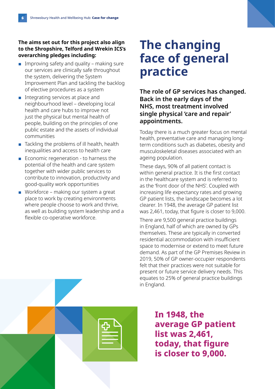#### **The aims set out for this project also align to the Shropshire, Telford and Wrekin ICS's overarching pledges including:**

- $\blacksquare$  Improving safety and quality making sure our services are clinically safe throughout the system, delivering the System Improvement Plan and tackling the backlog of elective procedures as a system
- Integrating services at place and neighbourhood level – developing local health and care hubs to improve not just the physical but mental health of people, building on the principles of one public estate and the assets of individual communities
- Tackling the problems of ill health, health inequalities and access to health care
- Economic regeneration to harness the potential of the health and care system together with wider public services to contribute to innovation, productivity and good-quality work opportunities
- Workforce making our system a great place to work by creating environments where people choose to work and thrive, as well as building system leadership and a flexible co-operative workforce.

### **The changing face of general practice**

**The role of GP services has changed. Back in the early days of the NHS, most treatment involved single physical 'care and repair' appointments.** 

Today there is a much greater focus on mental health, preventative care and managing longterm conditions such as diabetes, obesity and musculoskeletal diseases associated with an ageing population.

These days, 90% of all patient contact is within general practice. It is the first contact in the healthcare system and is referred to as the 'front door of the NHS'. Coupled with increasing life expectancy rates and growing GP patient lists, the landscape becomes a lot clearer. In 1948, the average GP patient list was 2,461, today, that figure is closer to 9,000.

There are 9,500 general practice buildings in England, half of which are owned by GPs themselves. These are typically in converted residential accommodation with insufficient space to modernise or extend to meet future demand. As part of the GP Premises Review in 2019, 50% of GP owner-occupier respondents felt that their practices were not suitable for present or future service delivery needs. This equates to 25% of general practice buildings in England.

**In 1948, the average GP patient list was 2,461, today, that figure is closer to 9,000.**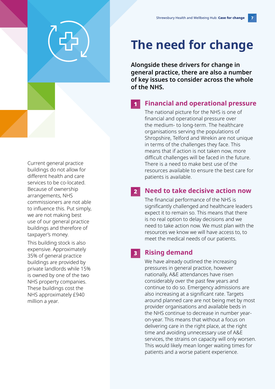### **The need for change**

**Alongside these drivers for change in general practice, there are also a number of key issues to consider across the whole of the NHS.**

#### 1 **Financial and operational pressure**

The national picture for the NHS is one of financial and operational pressure over the medium- to long-term. The healthcare organisations serving the populations of Shropshire, Telford and Wrekin are not unique in terms of the challenges they face. This means that if action is not taken now, more difficult challenges will be faced in the future. There is a need to make best use of the resources available to ensure the best care for patients is available.

#### 2 **Need to take decisive action now**

The financial performance of the NHS is significantly challenged and healthcare leaders expect it to remain so. This means that there is no real option to delay decisions and we need to take action now. We must plan with the resources we know we will have access to, to meet the medical needs of our patients.

#### 3 **Rising demand**

We have already outlined the increasing pressures in general practice, however nationally, A&E attendances have risen considerably over the past few years and continue to do so. Emergency admissions are also increasing at a significant rate. Targets around planned care are not being met by most provider organisations and available beds in the NHS continue to decrease in number yearon-year. This means that without a focus on delivering care in the right place, at the right time and avoiding unnecessary use of A&E services, the strains on capacity will only worsen. This would likely mean longer waiting times for patients and a worse patient experience.

Current general practice buildings do not allow for different health and care services to be co-located. Because of ownership arrangements, NHS commissioners are not able to influence this. Put simply, we are not making best use of our general practice buildings and therefore of taxpayer's money.

This building stock is also expensive. Approximately 35% of general practice buildings are provided by private landlords while 15% is owned by one of the two NHS property companies. These buildings cost the NHS approximately £940 million a year.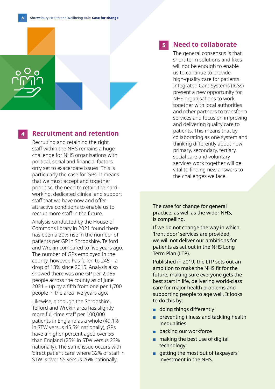#### 4 **Recruitment and retention**

Recruiting and retaining the right staff within the NHS remains a huge challenge for NHS organisations with political, social and financial factors only set to exacerbate issues. This is particularly the case for GPs. It means that we must accept and together prioritise, the need to retain the hardworking, dedicated clinical and support staff that we have now and offer attractive conditions to enable us to recruit more staff in the future.

Analysis conducted by the House of Commons library in 2021 found there has been a 20% rise in the number of patients per GP in Shropshire, Telford and Wrekin compared to five years ago. The number of GPs employed in the county, however, has fallen to 245 – a drop of 13% since 2015. Analysis also showed there was one GP per 2,065 people across the county as of June 2021 – up by a fifth from one per 1,700 people in the area five years ago.

Likewise, although the Shropshire, Telford and Wrekin area has slightly more full-time staff per 100,000 patients in England as a whole (49.1% in STW versus 45.5% nationally), GPs have a higher percent aged over 55 than England (25% in STW versus 23% nationally). The same issue occurs with 'direct patient care' where 32% of staff in STW is over 55 versus 26% nationally.

#### 5 **Need to collaborate**

The general consensus is that short-term solutions and fixes will not be enough to enable us to continue to provide high-quality care for patients. Integrated Care Systems (ICSs) present a new opportunity for NHS organisations to work together with local authorities and other partners to transform services and focus on improving and delivering quality care to patients. This means that by collaborating as one system and thinking differently about how primary, secondary, tertiary, social care and voluntary services work together will be vital to finding new answers to the challenges we face.

The case for change for general practice, as well as the wider NHS, is compelling.

If we do not change the way in which 'front door' services are provided, we will not deliver our ambitions for patients as set out in the NHS Long Term Plan (LTP).

Published in 2019, the LTP sets out an ambition to make the NHS fit for the future, making sure everyone gets the best start in life, delivering world-class care for major health problems and supporting people to age well. It looks to do this by:

- doing things differently
- **■** preventing illness and tackling health inequalities
- backing our workforce
- making the best use of digital technology
- getting the most out of taxpayers' investment in the NHS.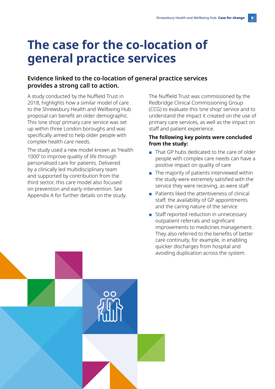## **The case for the co-location of general practice services**

#### **Evidence linked to the co-location of general practice services provides a strong call to action.**

A study conducted by the Nuffield Trust in 2018, highlights how a similar model of care to the Shrewsbury Health and Wellbeing Hub proposal can benefit an older demographic. This 'one shop' primary care service was set up within three London boroughs and was specifically aimed to help older people with complex health care needs.

The study used a new model known as 'Health 1000' to improve quality of life through personalised care for patients. Delivered by a clinically led multidisciplinary team and supported by contribution from the third sector, this care model also focused on prevention and early intervention. See Appendix A for further details on the study.

The Nuffield Trust was commissioned by the Redbridge Clinical Commissioning Group (CCG) to evaluate this 'one shop' service and to understand the impact it created on the use of primary care services, as well as the impact on staff and patient experience.

#### **The following key points were concluded from the study:**

- That GP hubs dedicated to the care of older people with complex care needs can have a positive impact on quality of care
- The majority of patients interviewed within the study were extremely satisfied with the service they were receiving, as were staff
- Patients liked the attentiveness of clinical staff, the availability of GP appointments and the caring nature of the service
- Staff reported reduction in unnecessary outpatient referrals and significant improvements to medicines management. They also referred to the benefits of better care continuity, for example, in enabling quicker discharges from hospital and avoiding duplication across the system.

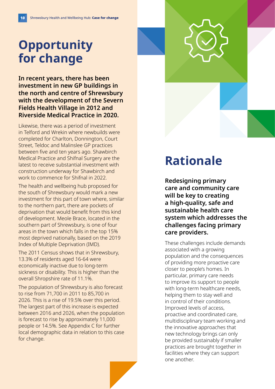## **Opportunity for change**

**In recent years, there has been investment in new GP buildings in the north and centre of Shrewsbury with the development of the Severn Fields Health Village in 2012 and Riverside Medical Practice in 2020.** 

Likewise, there was a period of investment in Telford and Wrekin where newbuilds were completed for Charlton, Donnington, Court Street, Teldoc and Malinslee GP practices between five and ten years ago. Shawbirch Medical Practice and Shifnal Surgery are the latest to receive substantial investment with construction underway for Shawbirch and work to commence for Shifnal in 2022.

The health and wellbeing hub proposed for the south of Shrewsbury would mark a new investment for this part of town where, similar to the northern part, there are pockets of deprivation that would benefit from this kind of development. Meole Brace, located in the southern part of Shrewsbury, is one of four areas in the town which falls in the top 15% most deprived nationally, based on the 2019 Index of Multiple Deprivation (IMD).

The 2011 Census shows that in Shrewsbury, 13.3% of residents aged 16-64 were economically inactive due to long-term sickness or disability. This is higher than the overall Shropshire rate of 11.1%.

The population of Shrewsbury is also forecast to rise from 71,700 in 2011 to 85,700 in 2026. This is a rise of 19.5% over this period. The largest part of this increase is expected between 2016 and 2026, when the population is forecast to rise by approximately 11,000 people or 14.5%. See Appendix C for further local demographic data in relation to this case for change.

### **Rationale**

**Redesigning primary care and community care will be key to creating a high-quality, safe and sustainable health care system which addresses the challenges facing primary care providers.** 

These challenges include demands associated with a growing population and the consequences of providing more proactive care closer to people's homes. In particular, primary care needs to improve its support to people with long-term healthcare needs, helping them to stay well and in control of their conditions. Improved levels of access, proactive and coordinated care, multidisciplinary team working and the innovative approaches that new technology brings can only be provided sustainably if smaller practices are brought together in facilities where they can support one another.

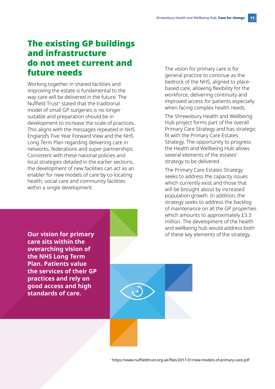### The existing GP buildings and infrastructure do not meet current and future needs

Working together in shared facilities and improving the estate is fundamental to the way care will be delivered in the future. The Nuffield Trust<sup>1</sup> stated that the traditional model of small GP surgeries is no longer suitable and preparation should be in development to increase the scale of practices. This aligns with the messages repeated in NHS England's Five Year Forward View and the NHS Long Term Plan regarding delivering care in networks, federations and super partnerships. Consistent with these national policies and local strategies detailed in the earlier sections, the development of new facilities can act as an enabler for new models of care by co-locating health, social care and community facilities within a single development.

The vision for primary care is for general practice to continue as the bedrock of the NHS, aligned to placebased care, allowing flexibility for the workforce, delivering continuity and improved access for patients especially when facing complex health needs.

The Shrewsbury Health and Wellbeing Hub project forms part of the overall Primary Care Strategy and has strategic fit with the Primary Care Estates Strategy. The opportunity to progress the Health and Wellbeing Hub allows several elements of the estates' strategy to be delivered.

The Primary Care Estates Strategy seeks to address the capacity issues which currently exist and those that will be brought about by increased population growth. In addition, the strategy seeks to address the backlog of maintenance on all the GP properties which amounts to approximately £3.3 million. The development of the health and wellbeing hub would address both **Our vision for primary and the stategy.** The of these key elements of the strategy.

**care sits within the overarching vision of the NHS Long Term Plan. Patients value the services of their GP practices and rely on good access and high standards of care.** 

<sup>1</sup> <https://www.nuffieldtrust.org.uk/files/2017-01/new-models-of-primary-care.pdf>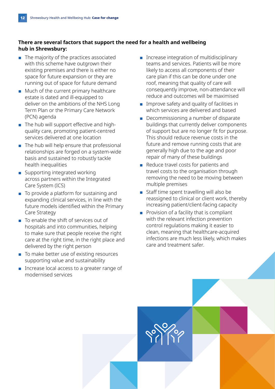#### **There are several factors that support the need for a health and wellbeing hub in Shrewsbury:**

- The majority of the practices associated with this scheme have outgrown their existing premises and there is either no space for future expansion or they are running out of space for future demand
- Much of the current primary healthcare estate is dated and ill-equipped to deliver on the ambitions of the NHS Long Term Plan or the Primary Care Network (PCN) agenda
- The hub will support effective and highquality care, promoting patient-centred services delivered at one location
- The hub will help ensure that professional relationships are forged on a system-wide basis and sustained to robustly tackle health inequalities
- Supporting integrated working across partners within the Integrated Care System (ICS)
- To provide a platform for sustaining and expanding clinical services, in line with the future models identified within the Primary Care Strategy
- To enable the shift of services out of hospitals and into communities, helping to make sure that people receive the right care at the right time, in the right place and delivered by the right person
- To make better use of existing resources supporting value and sustainability
- Increase local access to a greater range of modernised services
- Increase integration of multidisciplinary teams and services. Patients will be more likely to access all components of their care plan if this can be done under one roof, meaning that quality of care will consequently improve, non-attendance will reduce and outcomes will be maximised
- Improve safety and quality of facilities in which services are delivered and based
- Decommissioning a number of disparate buildings that currently deliver components of support but are no longer fit for purpose. This should reduce revenue costs in the future and remove running costs that are generally high due to the age and poor repair of many of these buildings
- Reduce travel costs for patients and travel costs to the organisation through removing the need to be moving between multiple premises
- Staff time spent travelling will also be reassigned to clinical or client work, thereby increasing patient/client-facing capacity
- Provision of a facility that is compliant with the relevant infection prevention control regulations making it easier to clean, meaning that healthcare-acquired infections are much less likely, which makes care and treatment safer.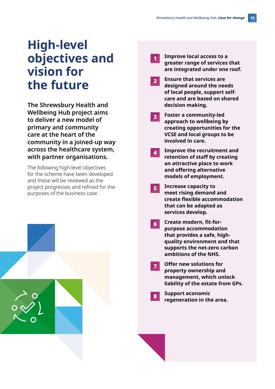### **High-level objectives and vision for the future**

**The Shrewsbury Health and Wellbeing Hub project aims to deliver a new model of primary and community care at the heart of the community in a joined-up way across the healthcare system, with partner organisations.** 

The following high-level objectives for the scheme have been developed and these will be reviewed as the project progresses and refined for the purposes of the business case.



- 1 **Improve local access to a greater range of services that are integrated under one roof.**
- 2 **Ensure that services are designed around the needs of local people, support selfcare and are based on shared decision making.**
- 3 **Foster a community-led approach to wellbeing by creating opportunities for the VCSE and local groups to be involved in care.**
- 4 **Improve the recruitment and retention of staff by creating an attractive place to work and offering alternative models of employment.**
- 5 **Increase capacity to meet rising demand and create flexible accommodation that can be adapted as services develop.**
- 6 **Create modern, fit-forpurpose accommodation that provides a safe, highquality environment and that supports the net-zero carbon ambitions of the NHS.**
- 7 **Offer new solutions for property ownership and management, which unlock liability of the estate from GPs.**
	- <sup>8</sup> **Support economic regeneration in the area.**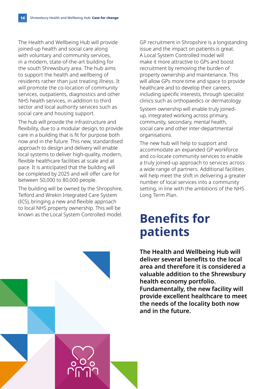The Health and Wellbeing Hub will provide joined-up health and social care along with voluntary and community services, in a modern, state-of-the-art building for the south Shrewsbury area. The hub aims to support the health and wellbeing of residents rather than just treating illness. It will promote the co-location of community services, outpatients, diagnostics and other NHS health services, in addition to third sector and local authority services such as social care and housing support.

The hub will provide the infrastructure and flexibility, due to a modular design, to provide care in a building that is fit for purpose both now and in the future. This new, standardised approach to design and delivery will enable local systems to deliver high-quality, modern, flexible healthcare facilities at scale and at pace. It is anticipated that the building will be completed by 2025 and will offer care for between 50,000 to 80,000 people.

The building will be owned by the Shropshire, Telford and Wrekin Integrated Care System (ICS), bringing a new and flexible approach to local NHS property ownership. This will be known as the Local System Controlled model. GP recruitment in Shropshire is a longstanding issue and the impact on patients is great. A Local System Controlled model will make it more attractive to GPs and boost recruitment by removing the burden of property ownership and maintenance. This will allow GPs more time and space to provide healthcare and to develop their careers, including specific interests, through specialist clinics such as orthopaedics or dermatology.

System ownership will enable truly joinedup, integrated working across primary, community, secondary, mental health, social care and other inter-departmental organisations.

The new hub will help to support and accommodate an expanded GP workforce and co-locate community services to enable a truly joined-up approach to services across a wide range of partners. Additional facilities will help meet the shift in delivering a greater number of local services into a community setting, in line with the ambitions of the NHS Long Term Plan.

### **Benefits for patients**

**The Health and Wellbeing Hub will deliver several benefits to the local area and therefore it is considered a valuable addition to the Shrewsbury health economy portfolio. Fundamentally, the new facility will provide excellent healthcare to meet the needs of the locality both now and in the future.**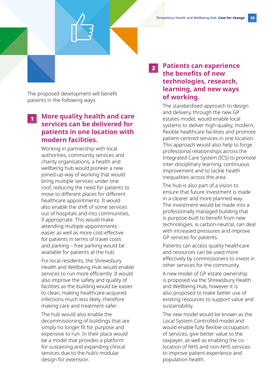The proposed development will benefit patients in the following ways:

#### <sup>1</sup> **More quality health and care services can be delivered for patients in one location with modern facilities.**

Working in partnership with local authorities, community services and charity organisations, a health and wellbeing hub would pioneer a new joined-up way of working that would bring multiple services under one roof, reducing the need for patients to move to different places for different healthcare appointments. It would also enable the shift of some services out of hospitals and into communities, if appropriate. This would make attending multiple appointments easier as well as more cost-effective for patients in terms of travel costs and parking – free parking would be available for patients at the hub.

For local residents, the Shrewsbury Health and Wellbeing Hub would enable services to run more efficiently. It would also improve the safety and quality of facilities as the building would be easier to clean, making healthcare-acquired infections much less likely, therefore making care and treatment safer.

The hub would also enable the decommissioning of buildings that are simply no longer fit for purpose and expensive to run. In their place would be a model that provides a platform for sustaining and expanding clinical services due to the hub's modular design for extension.

### <sup>2</sup> **Patients can experience the benefits of new technologies, research, learning, and new ways of working.**

The standardised approach to design and delivery, through the new GP estates model, would enable local systems to deliver high-quality, modern, flexible healthcare facilities and promote patient-centred services in one location. This approach would also help to forge professional relationships across the Integrated Care System (ICS) to promote inter-disciplinary learning, continuous improvement and to tackle health inequalities across the area.

The hub is also part of a vision to ensure that future investment is made in a clearer and more planned way. The investment would be made into a professionally managed building that is purpose-built to benefit from new technologies, is carbon-neutral, can deal with increased pressures and improve GP services for patients.

Patients can access quality healthcare and resources can be used more effectively by commissioners to invest in other services for the community.

A new model of GP estate ownership is proposed via the Shrewsbury Health and Wellbeing Hub, however it is also proposed to make better use of existing resources to support value and sustainability.

The new model would be known as the Local System Controlled model and would enable fully flexible occupation of services, give better value to the taxpayer, as well as enabling the colocation of NHS and non-NHS services to improve patient experience and population health.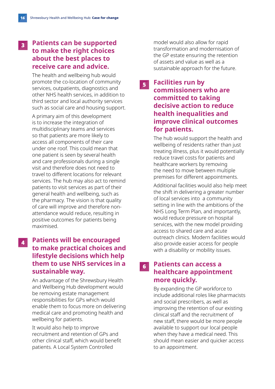### <sup>3</sup> **Patients can be supported to make the right choices about the best places to receive care and advice.**

The health and wellbeing hub would promote the co-location of community services, outpatients, diagnostics and other NHS health services, in addition to third sector and local authority services such as social care and housing support.

A primary aim of this development is to increase the integration of multidisciplinary teams and services so that patients are more likely to access all components of their care under one roof. This could mean that one patient is seen by several health and care professionals during a single visit and therefore does not need to travel to different locations for relevant services. The hub may also act to remind patients to visit services as part of their general health and wellbeing, such as the pharmacy. The vision is that quality of care will improve and therefore nonattendance would reduce, resulting in positive outcomes for patients being maximised.

### <sup>4</sup> **Patients will be encouraged to make practical choices and lifestyle decisions which help them to use NHS services in a sustainable way.**

An advantage of the Shrewsbury Health and Wellbeing Hub development would be removing estate management responsibilities for GPs which would enable them to focus more on delivering medical care and promoting health and wellbeing for patients.

It would also help to improve recruitment and retention of GPs and other clinical staff, which would benefit patients. A Local System Controlled

model would also allow for rapid transformation and modernisation of the GP estate ensuring the retention of assets and value as well as a sustainable approach for the future.

<sup>5</sup> **Facilities run by commissioners who are committed to taking decisive action to reduce health inequalities and improve clinical outcomes for patients.**

> The hub would support the health and wellbeing of residents rather than just treating illness, plus it would potentially reduce travel costs for patients and healthcare workers by removing the need to move between multiple premises for different appointments.

Additional facilities would also help meet the shift in delivering a greater number of local services into a community setting in line with the ambitions of the NHS Long Term Plan, and importantly, would reduce pressure on hospital services, with the new model providing access to shared care and acute outreach clinics. Modern facilities would also provide easier access for people with a disability or mobility issues.

#### <sup>6</sup> **Patients can access a healthcare appointment more quickly.**

By expanding the GP workforce to include additional roles like pharmacists and social prescribers, as well as improving the retention of our existing clinical staff and the recruitment of new staff, there would be more people available to support our local people when they have a medical need. This should mean easier and quicker access to an appointment.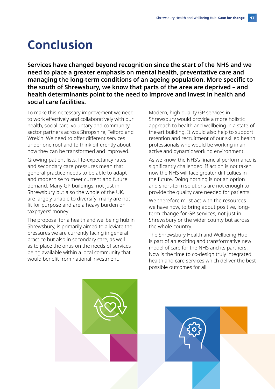### **Conclusion**

**Services have changed beyond recognition since the start of the NHS and we need to place a greater emphasis on mental health, preventative care and managing the long-term conditions of an ageing population. More specific to the south of Shrewsbury, we know that parts of the area are deprived – and health determinants point to the need to improve and invest in health and social care facilities.** 

To make this necessary improvement we need to work effectively and collaboratively with our health, social care, voluntary and community sector partners across Shropshire, Telford and Wrekin. We need to offer different services under one roof and to think differently about how they can be transformed and improved.

Growing patient lists, life-expectancy rates and secondary care pressures mean that general practice needs to be able to adapt and modernise to meet current and future demand. Many GP buildings, not just in Shrewsbury but also the whole of the UK, are largely unable to diversify; many are not fit for purpose and are a heavy burden on taxpayers' money.

The proposal for a health and wellbeing hub in Shrewsbury, is primarily aimed to alleviate the pressures we are currently facing in general practice but also in secondary care, as well as to place the onus on the needs of services being available within a local community that would benefit from national investment.

Modern, high-quality GP services in Shrewsbury would provide a more holistic approach to health and wellbeing in a state-ofthe-art building. It would also help to support retention and recruitment of our skilled health professionals who would be working in an active and dynamic working environment.

As we know, the NHS's financial performance is significantly challenged. If action is not taken now the NHS will face greater difficulties in the future. Doing nothing is not an option and short-term solutions are not enough to provide the quality care needed for patients.

We therefore must act with the resources we have now, to bring about positive, longterm change for GP services, not just in Shrewsbury or the wider county but across the whole country.

The Shrewsbury Health and Wellbeing Hub is part of an exciting and transformative new model of care for the NHS and its partners. Now is the time to co-design truly integrated health and care services which deliver the best possible outcomes for all.

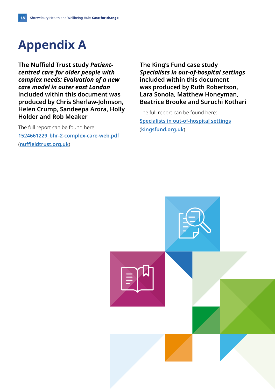## **Appendix A**

**The Nuffield Trust study** *Patientcentred care for older people with complex needs: Evaluation of a new care model in outer east London* **included within this document was produced by Chris Sherlaw-Johnson, Helen Crump, Sandeepa Arora, Holly Holder and Rob Meaker** 

The full report can be found here: **[1524661229\\_bhr-2-complex-care-web.pdf](https://www.nuffieldtrust.org.uk/files/2018-04/1524661229_bhr-2-complex-care-web.pdf)** (**[nuffieldtrust.org.uk](https://www.nuffieldtrust.org.uk)**)

**The King's Fund case study**  *Specialists in out-of-hospital settings* **included within this document was produced by Ruth Robertson, Lara Sonola, Matthew Honeyman, Beatrice Brooke and Suruchi Kothari**

The full report can be found here: **[Specialists in out-of-hospital settings](https://www.kingsfund.org.uk/sites/default/files/field/field_publication_file/specialists-in-out-of-hospital-settings-kingsfund-oct14.pdf)** (**[kingsfund.org.uk](https://www.kingsfund.org.uk)**)

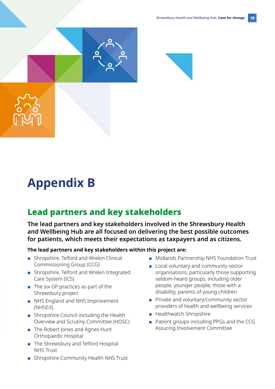

# **Appendix B**

### Lead partners and key stakeholders

**The lead partners and key stakeholders involved in the Shrewsbury Health and Wellbeing Hub are all focused on delivering the best possible outcomes for patients, which meets their expectations as taxpayers and as citizens.** 

#### **The lead partners and key stakeholders within this project are:**

- Shropshire, Telford and Wrekin Clinical Commissioning Group (CCG)
- Shropshire, Telford and Wrekin Integrated Care System (ICS)
- The six GP practices as part of the Shrewsbury project
- NHS England and NHS Improvement (NHSE/I)
- Shropshire Council including the Health Overview and Scrutiny Committee (HOSC)
- The Robert Jones and Agnes Hunt Orthopaedic Hospital
- The Shrewsbury and Telford Hospital NHS Trust
- Shropshire Community Health NHS Trust
- Midlands Partnership NHS Foundation Trust
- Local voluntary and community sector organisations, particularly those supporting seldom-heard groups, including older people, younger people, those with a disability, parents of young children
- Private and voluntary/community sector providers of health and wellbeing services
- Healthwatch Shropshire
- Patient groups including PPGs and the CCG Assuring Involvement Committee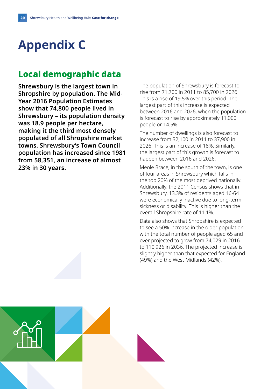# **Appendix C**

### Local demographic data

**Shrewsbury is the largest town in Shropshire by population. The Mid-Year 2016 Population Estimates show that 74,800 people lived in Shrewsbury – its population density was 18.9 people per hectare, making it the third most densely populated of all Shropshire market towns. Shrewsbury's Town Council population has increased since 1981 from 58,351, an increase of almost 23% in 30 years.**

The population of Shrewsbury is forecast to rise from 71,700 in 2011 to 85,700 in 2026. This is a rise of 19.5% over this period. The largest part of this increase is expected between 2016 and 2026, when the population is forecast to rise by approximately 11,000 people or 14.5%.

The number of dwellings is also forecast to increase from 32,100 in 2011 to 37,900 in 2026. This is an increase of 18%. Similarly, the largest part of this growth is forecast to happen between 2016 and 2026.

Meole Brace, in the south of the town, is one of four areas in Shrewsbury which falls in the top 20% of the most deprived nationally. Additionally, the 2011 Census shows that in Shrewsbury, 13.3% of residents aged 16-64 were economically inactive due to long-term sickness or disability. This is higher than the overall Shropshire rate of 11.1%.

Data also shows that Shropshire is expected to see a 50% increase in the older population with the total number of people aged 65 and over projected to grow from 74,029 in 2016 to 110,926 in 2036. The projected increase is slightly higher than that expected for England (49%) and the West Midlands (42%).